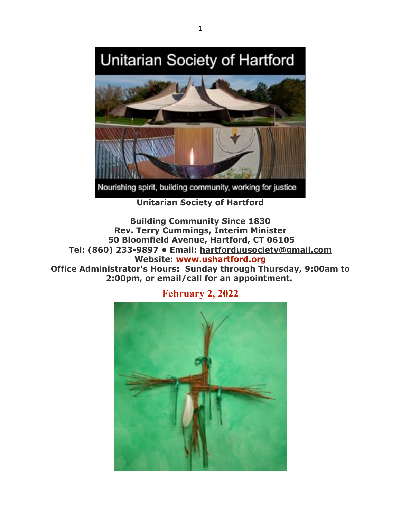# Unitarian Society of Hartford



Nourishing spirit, building community, working for justice

**Unitarian Society of Hartford**

**Building Community Since 1830 Rev. Terry Cummings, Interim Minister 50 Bloomfield Avenue, Hartford, CT 06105 Tel: (860) 233-9897 • Email: hartforduusociety@gmail.com Website: www.ushartford.org Office Administrator's Hours: Sunday through Thursday, 9:00am to 2:00pm, or email/call for an appointment.**



**February 2, 2022**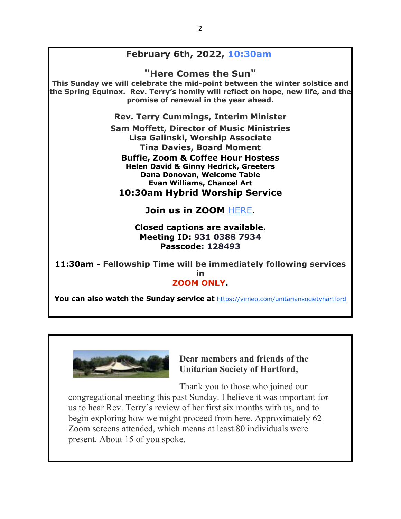# **February 6th, 2022, 10:30am**

**"Here Comes the Sun"**

**This Sunday we will celebrate the mid-point between the winter solstice and the Spring Equinox. Rev. Terry's homily will reflect on hope, new life, and the promise of renewal in the year ahead.**

**Rev. Terry Cummings, Interim Minister**

**Sam Moffett, Director of Music Ministries Lisa Galinski, Worship Associate Tina Davies, Board Moment Buffie, Zoom & Coffee Hour Hostess Helen David & Ginny Hedrick, Greeters**

**Dana Donovan, Welcome Table Evan Williams, Chancel Art 10:30am Hybrid Worship Service**

**Join us in ZOOM** HERE**.**

**Closed captions are available. Meeting ID: 931 0388 7934 Passcode: 128493**

**11:30am - Fellowship Time will be immediately following services in ZOOM ONLY.**

**You can also watch the Sunday service at** https://vimeo.com/unitariansocietyhartford



### **Dear members and friends of the Unitarian Society of Hartford,**

Thank you to those who joined our congregational meeting this past Sunday. I believe it was important for us to hear Rev. Terry's review of her first six months with us, and to begin exploring how we might proceed from here. Approximately 62 Zoom screens attended, which means at least 80 individuals were present. About 15 of you spoke.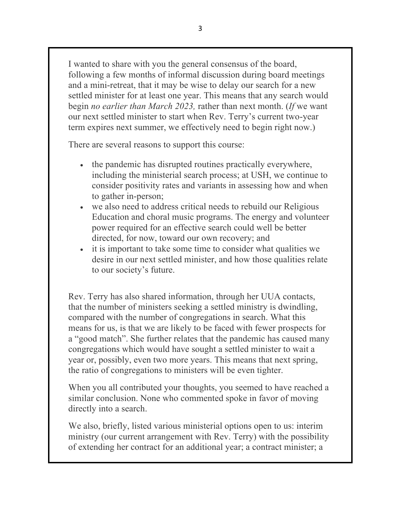I wanted to share with you the general consensus of the board, following a few months of informal discussion during board meetings and a mini-retreat, that it may be wise to delay our search for a new settled minister for at least one year. This means that any search would begin *no earlier than March 2023,* rather than next month. (*If* we want our next settled minister to start when Rev. Terry's current two-year term expires next summer, we effectively need to begin right now.)

There are several reasons to support this course:

- the pandemic has disrupted routines practically everywhere, including the ministerial search process; at USH, we continue to consider positivity rates and variants in assessing how and when to gather in-person;
- we also need to address critical needs to rebuild our Religious Education and choral music programs. The energy and volunteer power required for an effective search could well be better directed, for now, toward our own recovery; and
- it is important to take some time to consider what qualities we desire in our next settled minister, and how those qualities relate to our society's future.

Rev. Terry has also shared information, through her UUA contacts, that the number of ministers seeking a settled ministry is dwindling, compared with the number of congregations in search. What this means for us, is that we are likely to be faced with fewer prospects for a "good match". She further relates that the pandemic has caused many congregations which would have sought a settled minister to wait a year or, possibly, even two more years. This means that next spring, the ratio of congregations to ministers will be even tighter.

When you all contributed your thoughts, you seemed to have reached a similar conclusion. None who commented spoke in favor of moving directly into a search.

We also, briefly, listed various ministerial options open to us: interim ministry (our current arrangement with Rev. Terry) with the possibility of extending her contract for an additional year; a contract minister; a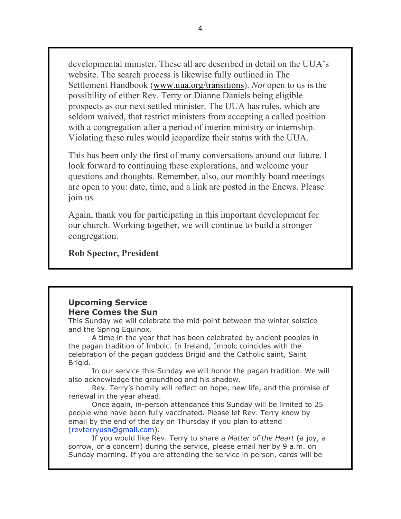developmental minister. These all are described in detail on the UUA's website. The search process is likewise fully outlined in The Settlement Handbook (www.uua.org/transitions). *Not* open to us is the possibility of either Rev. Terry or Dianne Daniels being eligible prospects as our next settled minister. The UUA has rules, which are seldom waived, that restrict ministers from accepting a called position with a congregation after a period of interim ministry or internship. Violating these rules would jeopardize their status with the UUA.

This has been only the first of many conversations around our future. I look forward to continuing these explorations, and welcome your questions and thoughts. Remember, also, our monthly board meetings are open to you: date, time, and a link are posted in the Enews. Please join us.

Again, thank you for participating in this important development for our church. Working together, we will continue to build a stronger congregation.

### **Rob Spector, President**

#### **Upcoming Service Here Comes the Sun**

This Sunday we will celebrate the mid-point between the winter solstice and the Spring Equinox.

A time in the year that has been celebrated by ancient peoples in the pagan tradition of Imbolc. In Ireland, Imbolc coincides with the celebration of the pagan goddess Brigid and the Catholic saint, Saint Brigid.

In our service this Sunday we will honor the pagan tradition. We will also acknowledge the groundhog and his shadow.

Rev. Terry's homily will reflect on hope, new life, and the promise of renewal in the year ahead.

Once again, in-person attendance this Sunday will be limited to 25 people who have been fully vaccinated. Please let Rev. Terry know by email by the end of the day on Thursday if you plan to attend (revterryush@gmail.com).

If you would like Rev. Terry to share a *Matter of the Heart* (a joy, a sorrow, or a concern) during the service, please email her by 9 a.m. on Sunday morning. If you are attending the service in person, cards will be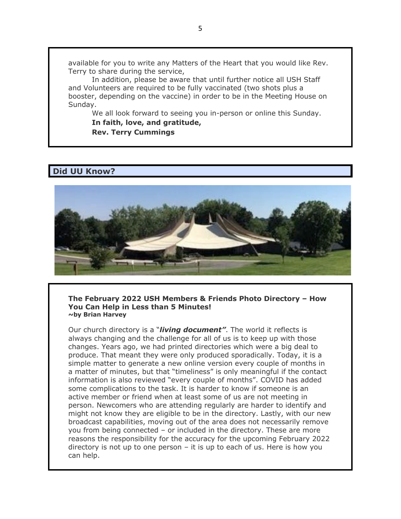available for you to write any Matters of the Heart that you would like Rev. Terry to share during the service,

In addition, please be aware that until further notice all USH Staff and Volunteers are required to be fully vaccinated (two shots plus a booster, depending on the vaccine) in order to be in the Meeting House on Sunday.

We all look forward to seeing you in-person or online this Sunday.

#### **In faith, love, and gratitude, Rev. Terry Cummings**

### **Did UU Know?**



**The February 2022 USH Members & Friends Photo Directory – How You Can Help in Less than 5 Minutes! ~by Brian Harvey**

Our church directory is a "*living document"*. The world it reflects is always changing and the challenge for all of us is to keep up with those changes. Years ago, we had printed directories which were a big deal to produce. That meant they were only produced sporadically. Today, it is a simple matter to generate a new online version every couple of months in a matter of minutes, but that "timeliness" is only meaningful if the contact information is also reviewed "every couple of months". COVID has added some complications to the task. It is harder to know if someone is an active member or friend when at least some of us are not meeting in person. Newcomers who are attending regularly are harder to identify and might not know they are eligible to be in the directory. Lastly, with our new broadcast capabilities, moving out of the area does not necessarily remove you from being connected – or included in the directory. These are more reasons the responsibility for the accuracy for the upcoming February 2022 directory is not up to one person – it is up to each of us. Here is how you can help.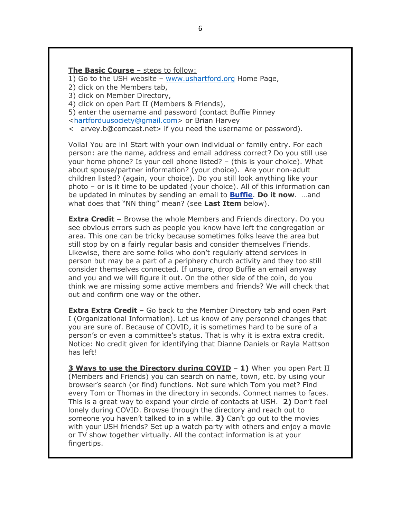#### **The Basic Course** – steps to follow:

1) Go to the USH website – www.ushartford.org Home Page,

2) click on the Members tab,

3) click on Member Directory,

4) click on open Part II (Members & Friends),

5) enter the username and password (contact Buffie Pinney

<hartforduusociety@gmail.com> or Brian Harvey

 $\leq$  arvey.b@comcast.net > if you need the username or password).

Voila! You are in! Start with your own individual or family entry. For each person: are the name, address and email address correct? Do you still use your home phone? Is your cell phone listed? – (this is your choice). What about spouse/partner information? (your choice). Are your non-adult children listed? (again, your choice). Do you still look anything like your photo – or is it time to be updated (your choice). All of this information can be updated in minutes by sending an email to **Buffie**. **Do it now**. …and what does that "NN thing" mean? (see **Last Item** below).

**Extra Credit –** Browse the whole Members and Friends directory. Do you see obvious errors such as people you know have left the congregation or area. This one can be tricky because sometimes folks leave the area but still stop by on a fairly regular basis and consider themselves Friends. Likewise, there are some folks who don't regularly attend services in person but may be a part of a periphery church activity and they too still consider themselves connected. If unsure, drop Buffie an email anyway and you and we will figure it out. On the other side of the coin, do you think we are missing some active members and friends? We will check that out and confirm one way or the other.

**Extra Extra Credit** – Go back to the Member Directory tab and open Part I (Organizational Information). Let us know of any personnel changes that you are sure of. Because of COVID, it is sometimes hard to be sure of a person's or even a committee's status. That is why it is extra extra credit. Notice: No credit given for identifying that Dianne Daniels or Rayla Mattson has left!

**3 Ways to use the Directory during COVID** – **1)** When you open Part II (Members and Friends) you can search on name, town, etc. by using your browser's search (or find) functions. Not sure which Tom you met? Find every Tom or Thomas in the directory in seconds. Connect names to faces. This is a great way to expand your circle of contacts at USH. **2)** Don't feel lonely during COVID. Browse through the directory and reach out to someone you haven't talked to in a while. **3)** Can't go out to the movies with your USH friends? Set up a watch party with others and enjoy a movie or TV show together virtually. All the contact information is at your fingertips.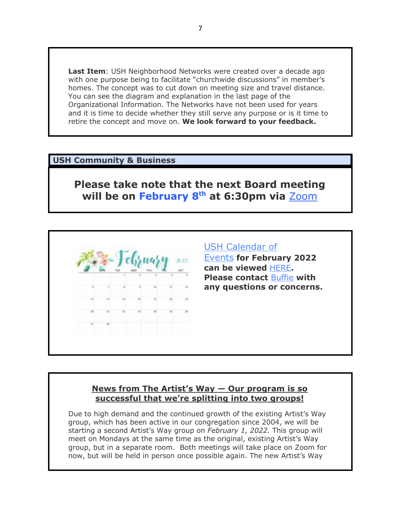**Last Item**: USH Neighborhood Networks were created over a decade ago with one purpose being to facilitate "churchwide discussions" in member's homes. The concept was to cut down on meeting size and travel distance. You can see the diagram and explanation in the last page of the Organizational Information. The Networks have not been used for years and it is time to decide whether they still serve any purpose or is it time to retire the concept and move on. **We look forward to your feedback.**

### **USH Community & Business**

# **Please take note that the next Board meeting**  will be on February 8<sup>th</sup> at 6:30pm via **Zoom**



### USH Calendar of

Events **for February 2022 can be viewed** HERE**. Please contact** Buffie **with any questions or concerns.**

### **News from The Artist's Way — Our program is so successful that we're splitting into two groups!**

Due to high demand and the continued growth of the existing Artist's Way group, which has been active in our congregation since 2004, we will be starting a second Artist's Way group on *February 1, 2022.* This group will meet on Mondays at the same time as the original, existing Artist's Way group, but in a separate room. Both meetings will take place on Zoom for now, but will be held in person once possible again. The new Artist's Way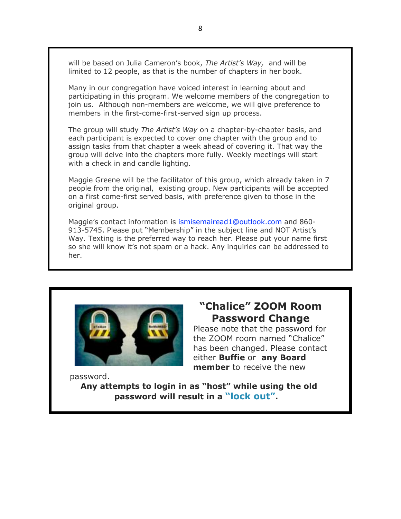will be based on Julia Cameron's book, *The Artist's Way,* and will be limited to 12 people, as that is the number of chapters in her book.

Many in our congregation have voiced interest in learning about and participating in this program. We welcome members of the congregation to join us*.* Although non-members are welcome, we will give preference to members in the first-come-first-served sign up process.

The group will study *The Artist's Way* on a chapter-by-chapter basis, and each participant is expected to cover one chapter with the group and to assign tasks from that chapter a week ahead of covering it. That way the group will delve into the chapters more fully. Weekly meetings will start with a check in and candle lighting.

Maggie Greene will be the facilitator of this group, which already taken in 7 people from the original, existing group. New participants will be accepted on a first come-first served basis, with preference given to those in the original group.

Maggie's contact information is ismisemairead1@outlook.com and 860- 913-5745. Please put "Membership" in the subject line and NOT Artist's Way. Texting is the preferred way to reach her. Please put your name first so she will know it's not spam or a hack. Any inquiries can be addressed to her.



# **"Chalice" ZOOM Room Password Change**

Please note that the password for the ZOOM room named "Chalice" has been changed. Please contact either **Buffie** or **any Board member** to receive the new

password.

**Any attempts to login in as "host" while using the old password will result in a "lock out".**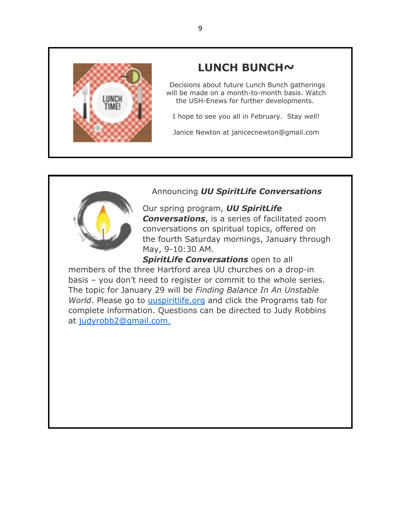

# **LUNCH BUNCH~**

Decisions about future Lunch Bunch gatherings will be made on a month-to-month basis. Watch the USH-Enews for further developments.

I hope to see you all in February. Stay well!

Janice Newton at janicecnewton@gmail.com



# Announcing *UU SpiritLife Conversations*

Our spring program, *UU SpiritLife Conversations*, is a series of facilitated zoom conversations on spiritual topics, offered on the fourth Saturday mornings, January through May, 9-10:30 AM.

**SpiritLife Conversations** open to all members of the three Hartford area UU churches on a drop-in basis – you don't need to register or commit to the whole series. The topic for January 29 will be *Finding Balance In An Unstable World*. Please go to uuspiritlife.org and click the Programs tab for complete information. Questions can be directed to Judy Robbins at judyrobb2@gmail.com.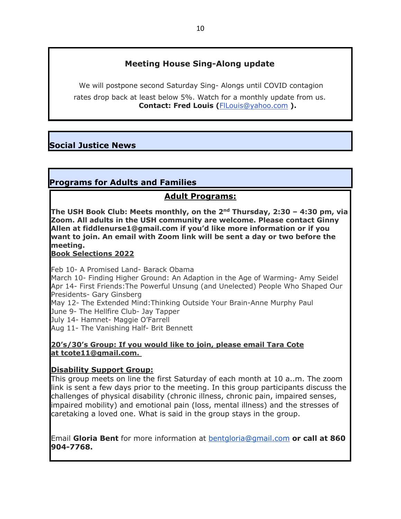# **Meeting House Sing-Along update**

We will postpone second Saturday Sing- Alongs until COVID contagion rates drop back at least below 5%. Watch for a monthly update from us. **Contact: Fred Louis (**FlLouis@yahoo.com **).**

# **Social Justice News**

# **Programs for Adults and Families**

# **Adult Programs:**

**The USH Book Club: Meets monthly, on the 2nd Thursday, 2:30 – 4:30 pm, via Zoom. All adults in the USH community are welcome. Please contact Ginny Allen at fiddlenurse1@gmail.com if you'd like more information or if you want to join. An email with Zoom link will be sent a day or two before the meeting.** 

**Book Selections 2022**

Feb 10- A Promised Land- Barack Obama

March 10- Finding Higher Ground: An Adaption in the Age of Warming- Amy Seidel Apr 14- First Friends:The Powerful Unsung (and Unelected) People Who Shaped Our Presidents- Gary Ginsberg

May 12- The Extended Mind:Thinking Outside Your Brain-Anne Murphy Paul

June 9- The Hellfire Club- Jay Tapper

July 14- Hamnet- Maggie O'Farrell

Aug 11- The Vanishing Half- Brit Bennett

### **20's/30's Group: If you would like to join, please email Tara Cote at tcote11@gmail.com.**

### **Disability Support Group:**

This group meets on line the first Saturday of each month at 10 a..m. The zoom link is sent a few days prior to the meeting. In this group participants discuss the challenges of physical disability (chronic illness, chronic pain, impaired senses, impaired mobility) and emotional pain (loss, mental illness) and the stresses of caretaking a loved one. What is said in the group stays in the group.

Email **Gloria Bent** for more information at bentgloria@gmail.com **or call at 860 904-7768.**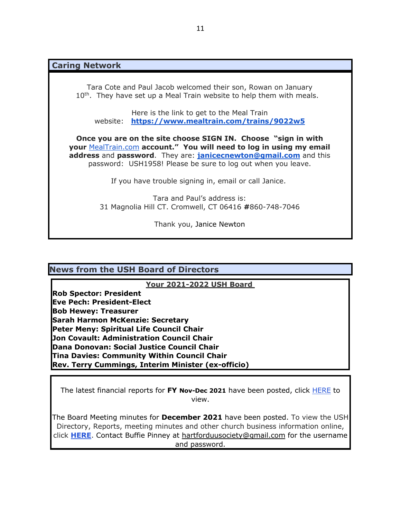**Caring Network**

Tara Cote and Paul Jacob welcomed their son, Rowan on January  $10<sup>th</sup>$ . They have set up a Meal Train website to help them with meals.

Here is the link to get to the Meal Train website: **https://www.mealtrain.com/trains/9022w5**

**Once you are on the site choose SIGN IN. Choose "sign in with your** MealTrain.com **account." You will need to log in using my email address** and **password**. They are: **janicecnewton@gmail.com** and this password: USH1958! Please be sure to log out when you leave.

If you have trouble signing in, email or call Janice.

Tara and Paul's address is: 31 Magnolia Hill CT. Cromwell, CT 06416 **#**860-748-7046

Thank you, Janice Newton

### **News from the USH Board of Directors**

**Your 2021-2022 USH Board**

**Rob Spector: President Eve Pech: President-Elect Bob Hewey: Treasurer Sarah Harmon McKenzie: Secretary Peter Meny: Spiritual Life Council Chair Jon Covault: Administration Council Chair Dana Donovan: Social Justice Council Chair Tina Davies: Community Within Council Chair Rev. Terry Cummings, Interim Minister (ex-officio)**

The latest financial reports for **FY Nov-Dec 2021** have been posted, click HERE to view.

The Board Meeting minutes for **December 2021** have been posted. To view the USH Directory, Reports, meeting minutes and other church business information online, click **HERE**. Contact Buffie Pinney at hartforduusociety@gmail.com for the username and password.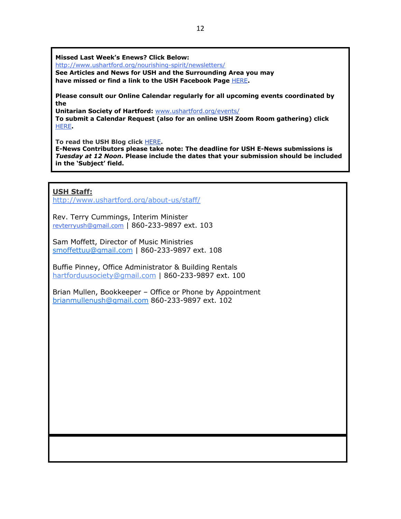**Missed Last Week's Enews? Click Below:**

http://www.ushartford.org/nourishing-spirit/newsletters/

**See Articles and News for USH and the Surrounding Area you may have missed or find a link to the USH Facebook Page** HERE**.**

**Please consult our Online Calendar regularly for all upcoming events coordinated by the**

**Unitarian Society of Hartford:** www.ushartford.org/events/ **To submit a Calendar Request (also for an online USH Zoom Room gathering) click** HERE**.**

**To read the USH Blog click** HERE**.**

**E-News Contributors please take note: The deadline for USH E-News submissions is**  *Tuesday at 12 Noon***. Please include the dates that your submission should be included in the 'Subject' field.**

### **USH Staff:**

http://www.ushartford.org/about-us/staff/

Rev. Terry Cummings, Interim Minister revterryush@gmail.com | 860-233-9897 ext. 103

Sam Moffett, Director of Music Ministries smoffettuu@gmail.com | 860-233-9897 ext. 108

Buffie Pinney, Office Administrator & Building Rentals hartforduusociety@gmail.com | 860-233-9897 ext. 100

Brian Mullen, Bookkeeper – Office or Phone by Appointment brianmullenush@gmail.com 860-233-9897 ext. 102